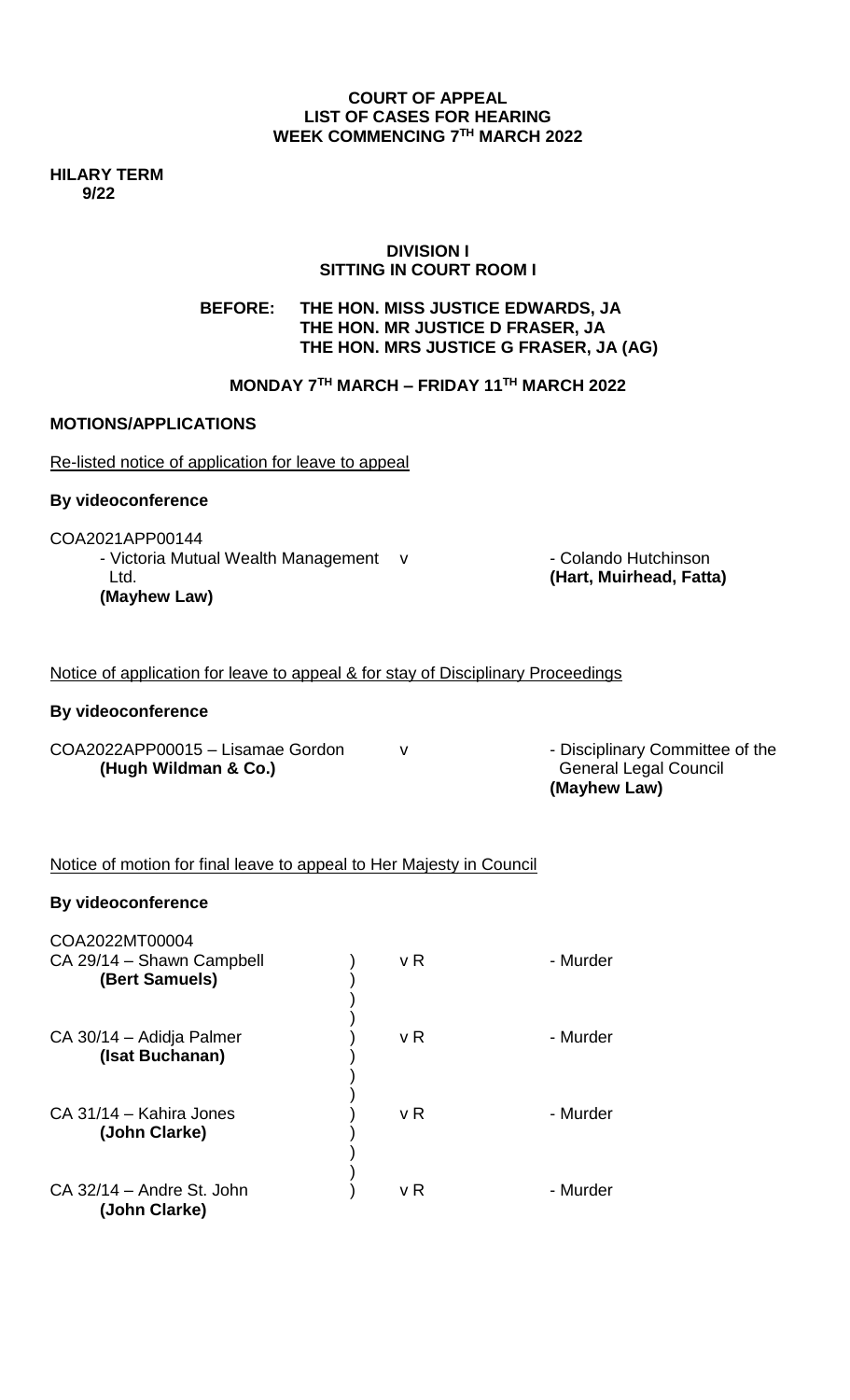### **COURT OF APPEAL LIST OF CASES FOR HEARING WEEK COMMENCING 7 TH MARCH 2022**

**HILARY TERM 9/22**

### **DIVISION I SITTING IN COURT ROOM I**

**BEFORE: THE HON. MISS JUSTICE EDWARDS, JA THE HON. MR JUSTICE D FRASER, JA THE HON. MRS JUSTICE G FRASER, JA (AG)**

# **MONDAY 7TH MARCH – FRIDAY 11TH MARCH 2022**

### **MOTIONS/APPLICATIONS**

Re-listed notice of application for leave to appeal

### **By videoconference**

COA2021APP00144

- Victoria Mutual Wealth Management v - Colando Hutchinson Ltd. **(Hart, Muirhead, Fatta) (Mayhew Law)**

Notice of application for leave to appeal & for stay of Disciplinary Proceedings

#### **By videoconference**

COA2022APP00015 – Lisamae Gordon v committee of the **(Hugh Wildman & Co.)** General Legal Council

**(Mayhew Law)**

### Notice of motion for final leave to appeal to Her Majesty in Council

#### **By videoconference**

| COA2022MT00004<br>CA 29/14 - Shawn Campbell<br>(Bert Samuels) | v R | - Murder |
|---------------------------------------------------------------|-----|----------|
| CA 30/14 – Adidja Palmer<br>(Isat Buchanan)                   | v R | - Murder |
| CA 31/14 - Kahira Jones<br>(John Clarke)                      | v R | - Murder |
| CA 32/14 - Andre St. John<br>(John Clarke)                    | v R | - Murder |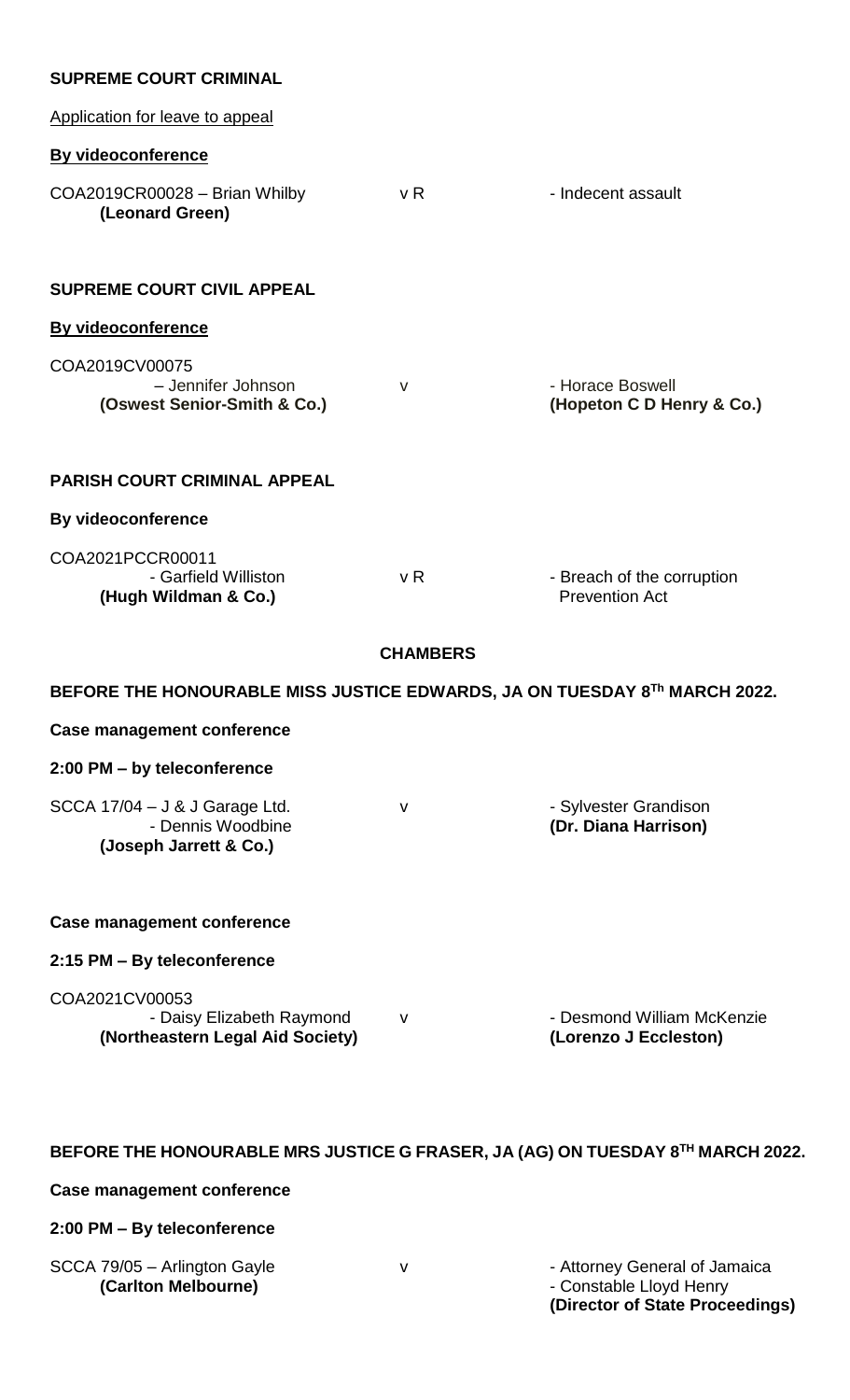### **SUPREME COURT CRIMINAL**

| Application for leave to appeal                                                 |                 |                                                     |
|---------------------------------------------------------------------------------|-----------------|-----------------------------------------------------|
| <b>By videoconference</b>                                                       |                 |                                                     |
| COA2019CR00028 - Brian Whilby<br>(Leonard Green)                                | v R             | - Indecent assault                                  |
| <b>SUPREME COURT CIVIL APPEAL</b>                                               |                 |                                                     |
| <b>By videoconference</b>                                                       |                 |                                                     |
| COA2019CV00075<br>- Jennifer Johnson<br>(Oswest Senior-Smith & Co.)             | v               | - Horace Boswell<br>(Hopeton C D Henry & Co.)       |
| <b>PARISH COURT CRIMINAL APPEAL</b>                                             |                 |                                                     |
| <b>By videoconference</b>                                                       |                 |                                                     |
| COA2021PCCR00011<br>- Garfield Williston<br>(Hugh Wildman & Co.)                | v R             | - Breach of the corruption<br><b>Prevention Act</b> |
|                                                                                 | <b>CHAMBERS</b> |                                                     |
| BEFORE THE HONOURABLE MISS JUSTICE EDWARDS, JA ON TUESDAY 8Th MARCH 2022.       |                 |                                                     |
| <b>Case management conference</b>                                               |                 |                                                     |
| 2:00 PM - by teleconference                                                     |                 |                                                     |
| SCCA 17/04 - J & J Garage Ltd.<br>- Dennis Woodbine<br>(Joseph Jarrett & Co.)   | ۷               | - Sylvester Grandison<br>(Dr. Diana Harrison)       |
| <b>Case management conference</b>                                               |                 |                                                     |
| 2:15 PM - By teleconference                                                     |                 |                                                     |
| COA2021CV00053<br>- Daisy Elizabeth Raymond<br>(Northeastern Legal Aid Society) | $\mathsf{V}$    | - Desmond William McKenzie<br>(Lorenzo J Eccleston) |

### **BEFORE THE HONOURABLE MRS JUSTICE G FRASER, JA (AG) ON TUESDAY 8 TH MARCH 2022.**

### **Case management conference**

### **2:00 PM – By teleconference**

| SCCA 79/05 - Arlington Gayle |
|------------------------------|
| (Carlton Melbourne)          |

v **79/05 - Attorney General of Jamaica (Carlton Melbourne)** - Constable Lloyd Henry **(Director of State Proceedings)**